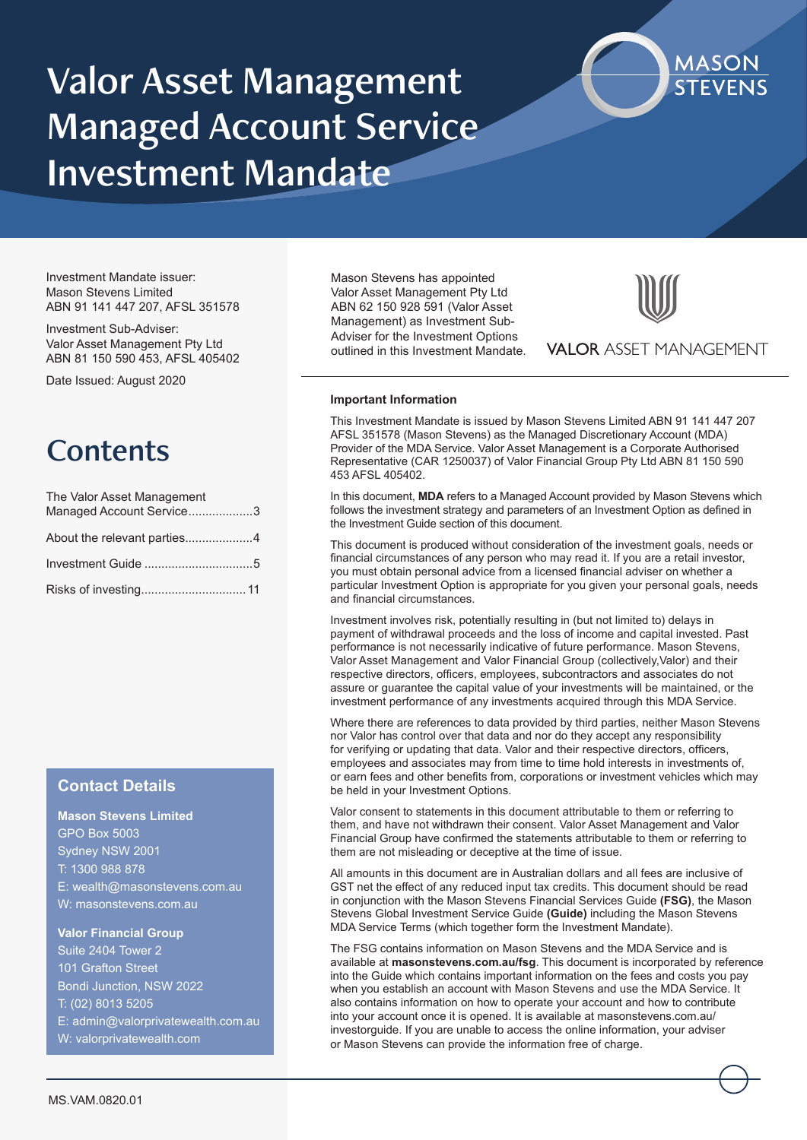# Valor Asset Management Managed Account Service Investment Mandate



Investment Mandate issuer: Mason Stevens Limited ABN 91 141 447 207, AFSL 351578

Investment Sub-Adviser: Valor Asset Management Pty Ltd ABN 81 150 590 453, AFSL 405402

Date Issued: August 2020

## **Contents**

| The Valor Asset Management<br>Managed Account Service3 |
|--------------------------------------------------------|
|                                                        |
|                                                        |
|                                                        |

## **Contact Details**

**Mason Stevens Limited** GPO Box 5003 Sydney NSW 2001 T: 1300 988 878 E: wealth@masonstevens.com.au W: masonstevens.com.au

#### **Valor Financial Group**

Suite 2404 Tower 2 101 Grafton Street Bondi Junction, NSW 2022 T: (02) 8013 5205 E: admin@valorprivatewealth.com.au W: valorprivatewealth.com

Mason Stevens has appointed Valor Asset Management Pty Ltd ABN 62 150 928 591 (Valor Asset Management) as Investment Sub-Adviser for the Investment Options outlined in this Investment Mandate.



**VALOR ASSET MANAGEMENT** 

#### **Important Information**

This Investment Mandate is issued by Mason Stevens Limited ABN 91 141 447 207 AFSL 351578 (Mason Stevens) as the Managed Discretionary Account (MDA) Provider of the MDA Service. Valor Asset Management is a Corporate Authorised Representative (CAR 1250037) of Valor Financial Group Pty Ltd ABN 81 150 590 453 AFSL 405402.

In this document, **MDA** refers to a Managed Account provided by Mason Stevens which follows the investment strategy and parameters of an Investment Option as defined in the Investment Guide section of this document.

This document is produced without consideration of the investment goals, needs or financial circumstances of any person who may read it. If you are a retail investor, you must obtain personal advice from a licensed financial adviser on whether a particular Investment Option is appropriate for you given your personal goals, needs and financial circumstances.

Investment involves risk, potentially resulting in (but not limited to) delays in payment of withdrawal proceeds and the loss of income and capital invested. Past performance is not necessarily indicative of future performance. Mason Stevens, Valor Asset Management and Valor Financial Group (collectively,Valor) and their respective directors, officers, employees, subcontractors and associates do not assure or guarantee the capital value of your investments will be maintained, or the investment performance of any investments acquired through this MDA Service.

Where there are references to data provided by third parties, neither Mason Stevens nor Valor has control over that data and nor do they accept any responsibility for verifying or updating that data. Valor and their respective directors, officers, employees and associates may from time to time hold interests in investments of, or earn fees and other benefits from, corporations or investment vehicles which may be held in your Investment Options.

Valor consent to statements in this document attributable to them or referring to them, and have not withdrawn their consent. Valor Asset Management and Valor Financial Group have confirmed the statements attributable to them or referring to them are not misleading or deceptive at the time of issue.

All amounts in this document are in Australian dollars and all fees are inclusive of GST net the effect of any reduced input tax credits. This document should be read in conjunction with the Mason Stevens Financial Services Guide **(FSG)**, the Mason Stevens Global Investment Service Guide **(Guide)** including the Mason Stevens MDA Service Terms (which together form the Investment Mandate).

The FSG contains information on Mason Stevens and the MDA Service and is available at **masonstevens.com.au/fsg**. This document is incorporated by reference into the Guide which contains important information on the fees and costs you pay when you establish an account with Mason Stevens and use the MDA Service. It also contains information on how to operate your account and how to contribute into your account once it is opened. It is available at masonstevens.com.au/ investorguide. If you are unable to access the online information, your adviser or Mason Stevens can provide the information free of charge.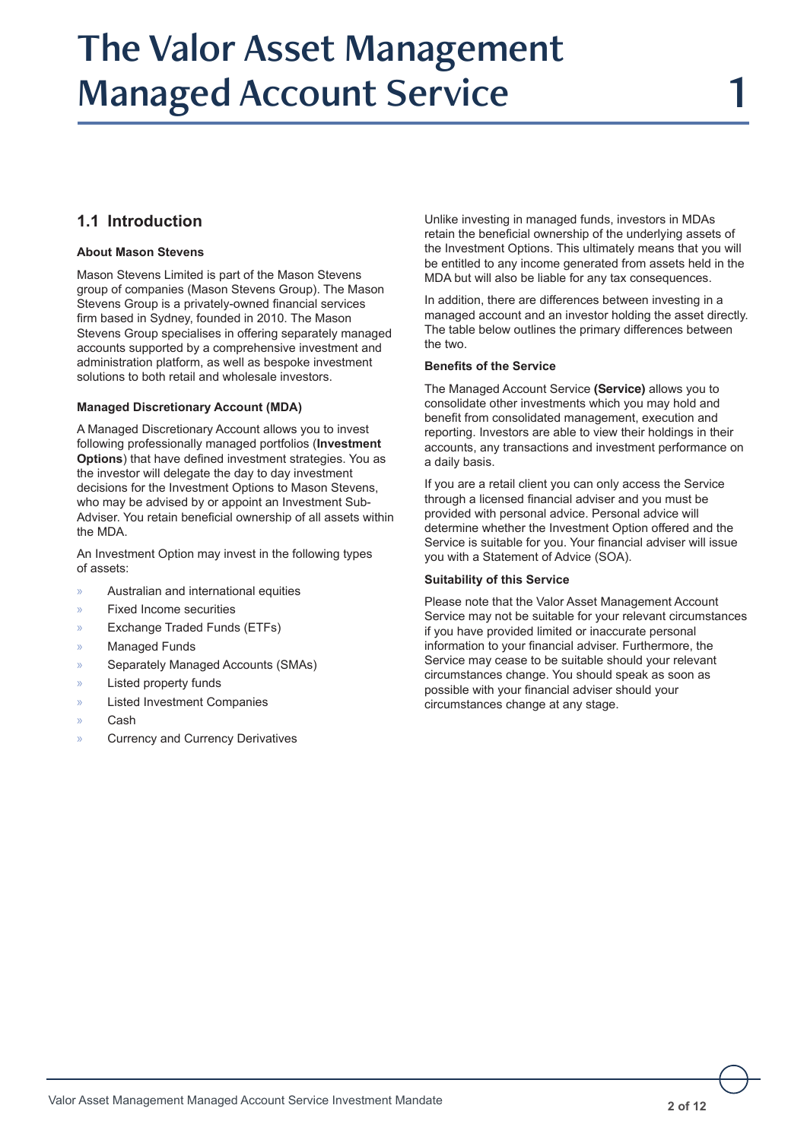## The Valor Asset Management Managed Account Service

## **1.1 Introduction**

## **About Mason Stevens**

Mason Stevens Limited is part of the Mason Stevens group of companies (Mason Stevens Group). The Mason Stevens Group is a privately-owned financial services firm based in Sydney, founded in 2010. The Mason Stevens Group specialises in offering separately managed accounts supported by a comprehensive investment and administration platform, as well as bespoke investment solutions to both retail and wholesale investors.

## **Managed Discretionary Account (MDA)**

A Managed Discretionary Account allows you to invest following professionally managed portfolios (**Investment Options**) that have defined investment strategies. You as the investor will delegate the day to day investment decisions for the Investment Options to Mason Stevens, who may be advised by or appoint an Investment Sub-Adviser. You retain beneficial ownership of all assets within the MDA.

An Investment Option may invest in the following types of assets:

- » Australian and international equities
- » Fixed Income securities
- » Exchange Traded Funds (ETFs)
- Managed Funds
- Separately Managed Accounts (SMAs)
- Listed property funds
- Listed Investment Companies
- » Cash
- » Currency and Currency Derivatives

Unlike investing in managed funds, investors in MDAs retain the beneficial ownership of the underlying assets of the Investment Options. This ultimately means that you will be entitled to any income generated from assets held in the MDA but will also be liable for any tax consequences.

In addition, there are differences between investing in a managed account and an investor holding the asset directly. The table below outlines the primary differences between the two.

#### **Benefits of the Service**

The Managed Account Service **(Service)** allows you to consolidate other investments which you may hold and benefit from consolidated management, execution and reporting. Investors are able to view their holdings in their accounts, any transactions and investment performance on a daily basis.

If you are a retail client you can only access the Service through a licensed financial adviser and you must be provided with personal advice. Personal advice will determine whether the Investment Option offered and the Service is suitable for you. Your financial adviser will issue you with a Statement of Advice (SOA).

#### **Suitability of this Service**

Please note that the Valor Asset Management Account Service may not be suitable for your relevant circumstances if you have provided limited or inaccurate personal information to your financial adviser. Furthermore, the Service may cease to be suitable should your relevant circumstances change. You should speak as soon as possible with your financial adviser should your circumstances change at any stage.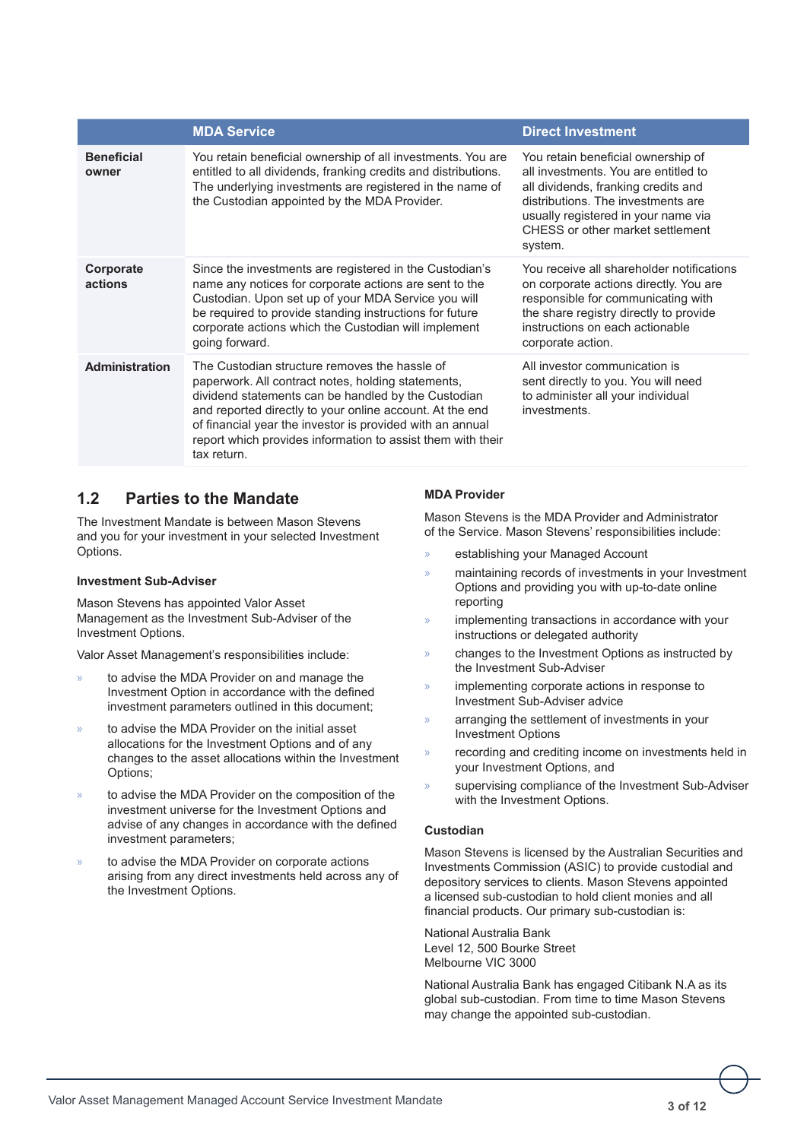|                            | <b>MDA Service</b>                                                                                                                                                                                                                                                                                                                                                | <b>Direct Investment</b>                                                                                                                                                                                                                      |
|----------------------------|-------------------------------------------------------------------------------------------------------------------------------------------------------------------------------------------------------------------------------------------------------------------------------------------------------------------------------------------------------------------|-----------------------------------------------------------------------------------------------------------------------------------------------------------------------------------------------------------------------------------------------|
| <b>Beneficial</b><br>owner | You retain beneficial ownership of all investments. You are<br>entitled to all dividends, franking credits and distributions.<br>The underlying investments are registered in the name of<br>the Custodian appointed by the MDA Provider.                                                                                                                         | You retain beneficial ownership of<br>all investments. You are entitled to<br>all dividends, franking credits and<br>distributions. The investments are<br>usually registered in your name via<br>CHESS or other market settlement<br>system. |
| Corporate<br>actions       | Since the investments are registered in the Custodian's<br>name any notices for corporate actions are sent to the<br>Custodian. Upon set up of your MDA Service you will<br>be required to provide standing instructions for future<br>corporate actions which the Custodian will implement<br>going forward.                                                     | You receive all shareholder notifications<br>on corporate actions directly. You are<br>responsible for communicating with<br>the share registry directly to provide<br>instructions on each actionable<br>corporate action.                   |
| <b>Administration</b>      | The Custodian structure removes the hassle of<br>paperwork. All contract notes, holding statements,<br>dividend statements can be handled by the Custodian<br>and reported directly to your online account. At the end<br>of financial year the investor is provided with an annual<br>report which provides information to assist them with their<br>tax return. | All investor communication is<br>sent directly to you. You will need<br>to administer all your individual<br>investments.                                                                                                                     |

## **1.2 Parties to the Mandate**

The Investment Mandate is between Mason Stevens and you for your investment in your selected Investment Options.

#### **Investment Sub-Adviser**

Mason Stevens has appointed Valor Asset Management as the Investment Sub-Adviser of the Investment Options.

Valor Asset Management's responsibilities include:

- » to advise the MDA Provider on and manage the Investment Option in accordance with the defined investment parameters outlined in this document;
- » to advise the MDA Provider on the initial asset allocations for the Investment Options and of any changes to the asset allocations within the Investment Options;
- to advise the MDA Provider on the composition of the investment universe for the Investment Options and advise of any changes in accordance with the defined investment parameters;
- to advise the MDA Provider on corporate actions arising from any direct investments held across any of the Investment Options.

## **MDA Provider**

Mason Stevens is the MDA Provider and Administrator of the Service. Mason Stevens' responsibilities include:

- » establishing your Managed Account
- » maintaining records of investments in your Investment Options and providing you with up-to-date online reporting
- » implementing transactions in accordance with your instructions or delegated authority
- » changes to the Investment Options as instructed by the Investment Sub-Adviser
- » implementing corporate actions in response to Investment Sub-Adviser advice
- » arranging the settlement of investments in your Investment Options
- » recording and crediting income on investments held in your Investment Options, and
- supervising compliance of the Investment Sub-Adviser with the Investment Options.

## **Custodian**

Mason Stevens is licensed by the Australian Securities and Investments Commission (ASIC) to provide custodial and depository services to clients. Mason Stevens appointed a licensed sub-custodian to hold client monies and all financial products. Our primary sub-custodian is:

National Australia Bank Level 12, 500 Bourke Street Melbourne VIC 3000

National Australia Bank has engaged Citibank N.A as its global sub-custodian. From time to time Mason Stevens may change the appointed sub-custodian.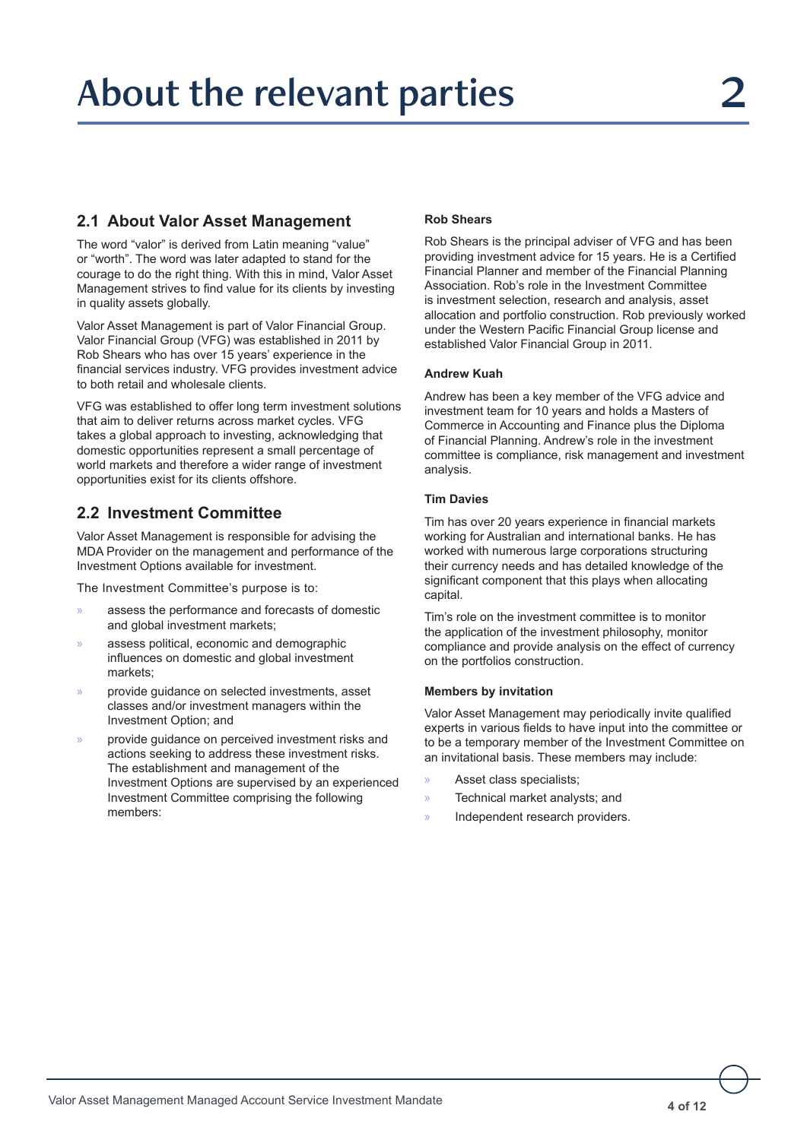## **2.1 About Valor Asset Management**

The word "valor" is derived from Latin meaning "value" or "worth". The word was later adapted to stand for the courage to do the right thing. With this in mind, Valor Asset Management strives to find value for its clients by investing in quality assets globally.

Valor Asset Management is part of Valor Financial Group. Valor Financial Group (VFG) was established in 2011 by Rob Shears who has over 15 years' experience in the financial services industry. VFG provides investment advice to both retail and wholesale clients.

VFG was established to offer long term investment solutions that aim to deliver returns across market cycles. VFG takes a global approach to investing, acknowledging that domestic opportunities represent a small percentage of world markets and therefore a wider range of investment opportunities exist for its clients offshore.

## **2.2 Investment Committee**

Valor Asset Management is responsible for advising the MDA Provider on the management and performance of the Investment Options available for investment.

The Investment Committee's purpose is to:

- » assess the performance and forecasts of domestic and global investment markets;
- assess political, economic and demographic influences on domestic and global investment markets;
- » provide guidance on selected investments, asset classes and/or investment managers within the Investment Option; and
- » provide guidance on perceived investment risks and actions seeking to address these investment risks. The establishment and management of the Investment Options are supervised by an experienced Investment Committee comprising the following mamhare<sup>.</sup>

## **Rob Shears**

Rob Shears is the principal adviser of VFG and has been providing investment advice for 15 years. He is a Certified Financial Planner and member of the Financial Planning Association. Rob's role in the Investment Committee is investment selection, research and analysis, asset allocation and portfolio construction. Rob previously worked under the Western Pacific Financial Group license and established Valor Financial Group in 2011.

## **Andrew Kuah**

Andrew has been a key member of the VFG advice and investment team for 10 years and holds a Masters of Commerce in Accounting and Finance plus the Diploma of Financial Planning. Andrew's role in the investment committee is compliance, risk management and investment analysis.

## **Tim Davies**

Tim has over 20 years experience in financial markets working for Australian and international banks. He has worked with numerous large corporations structuring their currency needs and has detailed knowledge of the significant component that this plays when allocating capital.

Tim's role on the investment committee is to monitor the application of the investment philosophy, monitor compliance and provide analysis on the effect of currency on the portfolios construction.

## **Members by invitation**

Valor Asset Management may periodically invite qualified experts in various fields to have input into the committee or to be a temporary member of the Investment Committee on an invitational basis. These members may include:

- » Asset class specialists;
- » Technical market analysts; and
- » Independent research providers.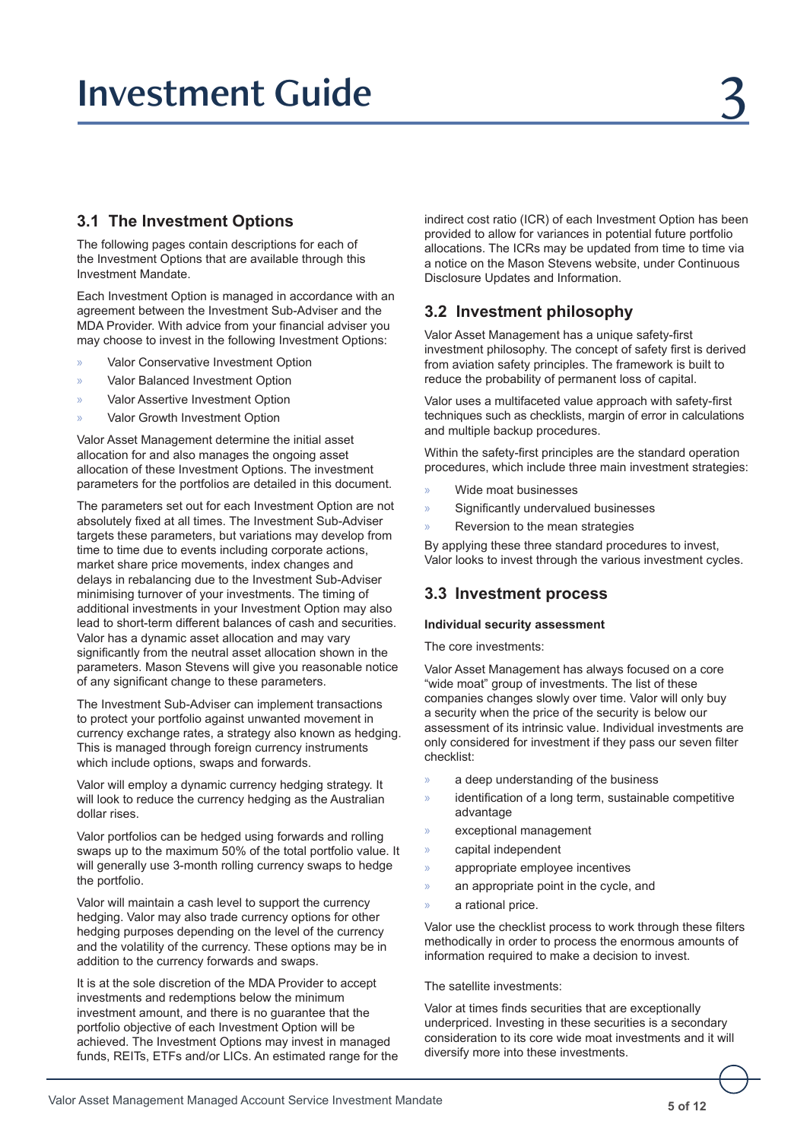## **3.1 The Investment Options**

The following pages contain descriptions for each of the Investment Options that are available through this Investment Mandate.

Each Investment Option is managed in accordance with an agreement between the Investment Sub-Adviser and the MDA Provider. With advice from your financial adviser you may choose to invest in the following Investment Options:

- » Valor Conservative Investment Option
- » Valor Balanced Investment Option
- » Valor Assertive Investment Option
- » Valor Growth Investment Option

Valor Asset Management determine the initial asset allocation for and also manages the ongoing asset allocation of these Investment Options. The investment parameters for the portfolios are detailed in this document.

The parameters set out for each Investment Option are not absolutely fixed at all times. The Investment Sub-Adviser targets these parameters, but variations may develop from time to time due to events including corporate actions, market share price movements, index changes and delays in rebalancing due to the Investment Sub-Adviser minimising turnover of your investments. The timing of additional investments in your Investment Option may also lead to short-term different balances of cash and securities. Valor has a dynamic asset allocation and may vary significantly from the neutral asset allocation shown in the parameters. Mason Stevens will give you reasonable notice of any significant change to these parameters.

The Investment Sub-Adviser can implement transactions to protect your portfolio against unwanted movement in currency exchange rates, a strategy also known as hedging. This is managed through foreign currency instruments which include options, swaps and forwards.

Valor will employ a dynamic currency hedging strategy. It will look to reduce the currency hedging as the Australian dollar rises.

Valor portfolios can be hedged using forwards and rolling swaps up to the maximum 50% of the total portfolio value. It will generally use 3-month rolling currency swaps to hedge the portfolio.

Valor will maintain a cash level to support the currency hedging. Valor may also trade currency options for other hedging purposes depending on the level of the currency and the volatility of the currency. These options may be in addition to the currency forwards and swaps.

It is at the sole discretion of the MDA Provider to accept investments and redemptions below the minimum investment amount, and there is no guarantee that the portfolio objective of each Investment Option will be achieved. The Investment Options may invest in managed funds, REITs, ETFs and/or LICs. An estimated range for the indirect cost ratio (ICR) of each Investment Option has been provided to allow for variances in potential future portfolio allocations. The ICRs may be updated from time to time via a notice on the Mason Stevens website, under Continuous Disclosure Updates and Information.

## **3.2 Investment philosophy**

Valor Asset Management has a unique safety-first investment philosophy. The concept of safety first is derived from aviation safety principles. The framework is built to reduce the probability of permanent loss of capital.

Valor uses a multifaceted value approach with safety-first techniques such as checklists, margin of error in calculations and multiple backup procedures.

Within the safety-first principles are the standard operation procedures, which include three main investment strategies:

- » Wide moat businesses
- » Significantly undervalued businesses
- » Reversion to the mean strategies

By applying these three standard procedures to invest, Valor looks to invest through the various investment cycles.

## **3.3 Investment process**

#### **Individual security assessment**

The core investments:

Valor Asset Management has always focused on a core "wide moat" group of investments. The list of these companies changes slowly over time. Valor will only buy a security when the price of the security is below our assessment of its intrinsic value. Individual investments are only considered for investment if they pass our seven filter checklist:

- » a deep understanding of the business
- » identification of a long term, sustainable competitive advantage
- » exceptional management
- » capital independent
- » appropriate employee incentives
- » an appropriate point in the cycle, and
- a rational price.

Valor use the checklist process to work through these filters methodically in order to process the enormous amounts of information required to make a decision to invest.

#### The satellite investments:

Valor at times finds securities that are exceptionally underpriced. Investing in these securities is a secondary consideration to its core wide moat investments and it will diversify more into these investments.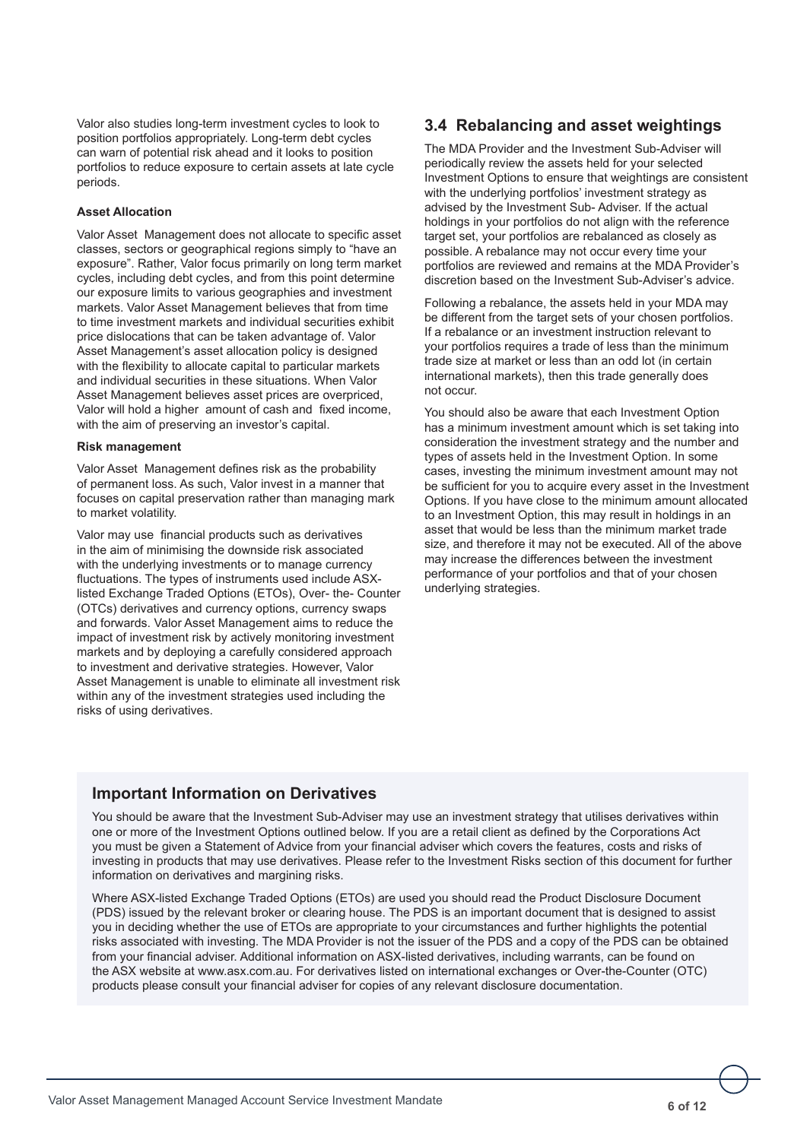Valor also studies long-term investment cycles to look to position portfolios appropriately. Long-term debt cycles can warn of potential risk ahead and it looks to position portfolios to reduce exposure to certain assets at late cycle periods.

#### **Asset Allocation**

Valor Asset Management does not allocate to specific asset classes, sectors or geographical regions simply to "have an exposure". Rather, Valor focus primarily on long term market cycles, including debt cycles, and from this point determine our exposure limits to various geographies and investment markets. Valor Asset Management believes that from time to time investment markets and individual securities exhibit price dislocations that can be taken advantage of. Valor Asset Management's asset allocation policy is designed with the flexibility to allocate capital to particular markets and individual securities in these situations. When Valor Asset Management believes asset prices are overpriced, Valor will hold a higher amount of cash and fixed income, with the aim of preserving an investor's capital.

#### **Risk management**

Valor Asset Management defines risk as the probability of permanent loss. As such, Valor invest in a manner that focuses on capital preservation rather than managing mark to market volatility.

Valor may use financial products such as derivatives in the aim of minimising the downside risk associated with the underlying investments or to manage currency fluctuations. The types of instruments used include ASXlisted Exchange Traded Options (ETOs), Over- the- Counter (OTCs) derivatives and currency options, currency swaps and forwards. Valor Asset Management aims to reduce the impact of investment risk by actively monitoring investment markets and by deploying a carefully considered approach to investment and derivative strategies. However, Valor Asset Management is unable to eliminate all investment risk within any of the investment strategies used including the risks of using derivatives.

## **3.4 Rebalancing and asset weightings**

The MDA Provider and the Investment Sub-Adviser will periodically review the assets held for your selected Investment Options to ensure that weightings are consistent with the underlying portfolios' investment strategy as advised by the Investment Sub- Adviser. If the actual holdings in your portfolios do not align with the reference target set, your portfolios are rebalanced as closely as possible. A rebalance may not occur every time your portfolios are reviewed and remains at the MDA Provider's discretion based on the Investment Sub-Adviser's advice.

Following a rebalance, the assets held in your MDA may be different from the target sets of your chosen portfolios. If a rebalance or an investment instruction relevant to your portfolios requires a trade of less than the minimum trade size at market or less than an odd lot (in certain international markets), then this trade generally does not occur.

You should also be aware that each Investment Option has a minimum investment amount which is set taking into consideration the investment strategy and the number and types of assets held in the Investment Option. In some cases, investing the minimum investment amount may not be sufficient for you to acquire every asset in the Investment Options. If you have close to the minimum amount allocated to an Investment Option, this may result in holdings in an asset that would be less than the minimum market trade size, and therefore it may not be executed. All of the above may increase the differences between the investment performance of your portfolios and that of your chosen underlying strategies.

## **Important Information on Derivatives**

You should be aware that the Investment Sub-Adviser may use an investment strategy that utilises derivatives within one or more of the Investment Options outlined below. If you are a retail client as defined by the Corporations Act you must be given a Statement of Advice from your financial adviser which covers the features, costs and risks of investing in products that may use derivatives. Please refer to the Investment Risks section of this document for further information on derivatives and margining risks.

Where ASX-listed Exchange Traded Options (ETOs) are used you should read the Product Disclosure Document (PDS) issued by the relevant broker or clearing house. The PDS is an important document that is designed to assist you in deciding whether the use of ETOs are appropriate to your circumstances and further highlights the potential risks associated with investing. The MDA Provider is not the issuer of the PDS and a copy of the PDS can be obtained from your financial adviser. Additional information on ASX-listed derivatives, including warrants, can be found on the ASX website at www.asx.com.au. For derivatives listed on international exchanges or Over-the-Counter (OTC) products please consult your financial adviser for copies of any relevant disclosure documentation.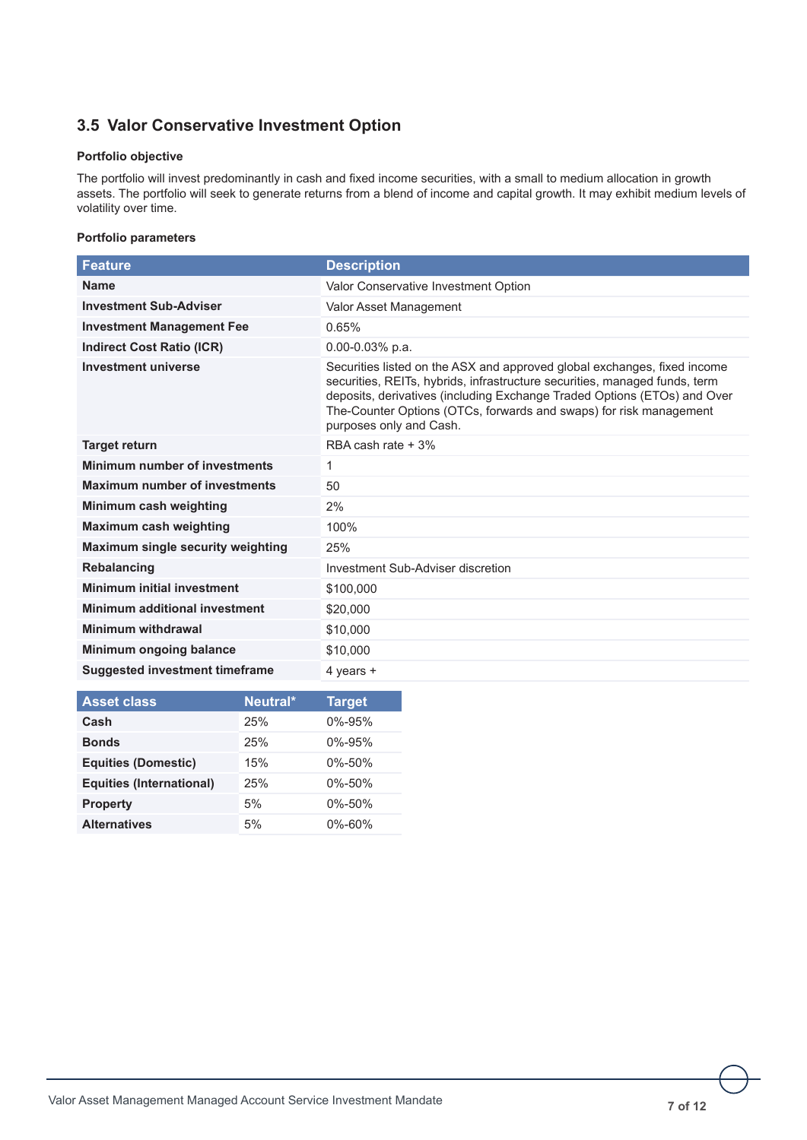## **3.5 Valor Conservative Investment Option**

## **Portfolio objective**

The portfolio will invest predominantly in cash and fixed income securities, with a small to medium allocation in growth assets. The portfolio will seek to generate returns from a blend of income and capital growth. It may exhibit medium levels of volatility over time.

| <b>Feature</b>                        | <b>Description</b>                                                                                                                                                                                                                                                                                                                  |
|---------------------------------------|-------------------------------------------------------------------------------------------------------------------------------------------------------------------------------------------------------------------------------------------------------------------------------------------------------------------------------------|
| <b>Name</b>                           | Valor Conservative Investment Option                                                                                                                                                                                                                                                                                                |
| <b>Investment Sub-Adviser</b>         | Valor Asset Management                                                                                                                                                                                                                                                                                                              |
| <b>Investment Management Fee</b>      | 0.65%                                                                                                                                                                                                                                                                                                                               |
| <b>Indirect Cost Ratio (ICR)</b>      | $0.00 - 0.03\%$ p.a.                                                                                                                                                                                                                                                                                                                |
| <b>Investment universe</b>            | Securities listed on the ASX and approved global exchanges, fixed income<br>securities, REITs, hybrids, infrastructure securities, managed funds, term<br>deposits, derivatives (including Exchange Traded Options (ETOs) and Over<br>The-Counter Options (OTCs, forwards and swaps) for risk management<br>purposes only and Cash. |
| <b>Target return</b>                  | RBA cash rate + 3%                                                                                                                                                                                                                                                                                                                  |
| Minimum number of investments         | 1                                                                                                                                                                                                                                                                                                                                   |
| <b>Maximum number of investments</b>  | 50                                                                                                                                                                                                                                                                                                                                  |
| Minimum cash weighting                | 2%                                                                                                                                                                                                                                                                                                                                  |
| <b>Maximum cash weighting</b>         | 100%                                                                                                                                                                                                                                                                                                                                |
| Maximum single security weighting     | 25%                                                                                                                                                                                                                                                                                                                                 |
| <b>Rebalancing</b>                    | Investment Sub-Adviser discretion                                                                                                                                                                                                                                                                                                   |
| Minimum initial investment            | \$100,000                                                                                                                                                                                                                                                                                                                           |
| <b>Minimum additional investment</b>  | \$20,000                                                                                                                                                                                                                                                                                                                            |
| <b>Minimum withdrawal</b>             | \$10,000                                                                                                                                                                                                                                                                                                                            |
| Minimum ongoing balance               | \$10,000                                                                                                                                                                                                                                                                                                                            |
| <b>Suggested investment timeframe</b> | 4 years +                                                                                                                                                                                                                                                                                                                           |

| <b>Asset class</b>              | Neutral* | <b>Target</b> |
|---------------------------------|----------|---------------|
| Cash                            | 25%      | $0\% - 95\%$  |
| <b>Bonds</b>                    | 25%      | $0\% - 95\%$  |
| <b>Equities (Domestic)</b>      | 15%      | $0\% - 50\%$  |
| <b>Equities (International)</b> | 25%      | $0\% - 50\%$  |
| <b>Property</b>                 | 5%       | $0\% - 50\%$  |
| <b>Alternatives</b>             | 5%       | $0\% - 60\%$  |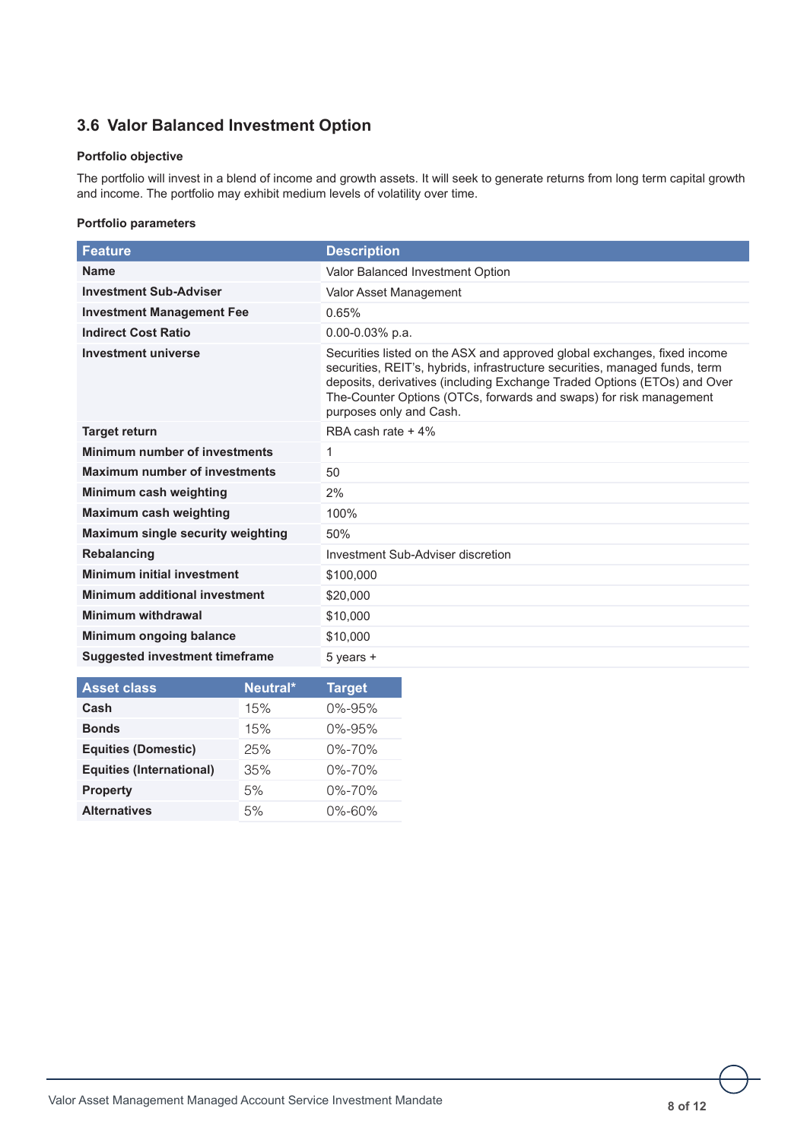## **3.6 Valor Balanced Investment Option**

## **Portfolio objective**

The portfolio will invest in a blend of income and growth assets. It will seek to generate returns from long term capital growth and income. The portfolio may exhibit medium levels of volatility over time.

| <b>Feature</b>                           | <b>Description</b>                                                                                                                                                                                                                                                                                                                   |
|------------------------------------------|--------------------------------------------------------------------------------------------------------------------------------------------------------------------------------------------------------------------------------------------------------------------------------------------------------------------------------------|
| <b>Name</b>                              | Valor Balanced Investment Option                                                                                                                                                                                                                                                                                                     |
| <b>Investment Sub-Adviser</b>            | Valor Asset Management                                                                                                                                                                                                                                                                                                               |
| <b>Investment Management Fee</b>         | 0.65%                                                                                                                                                                                                                                                                                                                                |
| <b>Indirect Cost Ratio</b>               | $0.00 - 0.03\%$ p.a.                                                                                                                                                                                                                                                                                                                 |
| <b>Investment universe</b>               | Securities listed on the ASX and approved global exchanges, fixed income<br>securities, REIT's, hybrids, infrastructure securities, managed funds, term<br>deposits, derivatives (including Exchange Traded Options (ETOs) and Over<br>The-Counter Options (OTCs, forwards and swaps) for risk management<br>purposes only and Cash. |
| <b>Target return</b>                     | RBA cash rate $+4\%$                                                                                                                                                                                                                                                                                                                 |
| <b>Minimum number of investments</b>     | 1                                                                                                                                                                                                                                                                                                                                    |
| <b>Maximum number of investments</b>     | 50                                                                                                                                                                                                                                                                                                                                   |
| Minimum cash weighting                   | 2%                                                                                                                                                                                                                                                                                                                                   |
| <b>Maximum cash weighting</b>            | 100%                                                                                                                                                                                                                                                                                                                                 |
| <b>Maximum single security weighting</b> | 50%                                                                                                                                                                                                                                                                                                                                  |
| <b>Rebalancing</b>                       | Investment Sub-Adviser discretion                                                                                                                                                                                                                                                                                                    |
| <b>Minimum initial investment</b>        | \$100,000                                                                                                                                                                                                                                                                                                                            |
| <b>Minimum additional investment</b>     | \$20,000                                                                                                                                                                                                                                                                                                                             |
| Minimum withdrawal                       | \$10,000                                                                                                                                                                                                                                                                                                                             |
| Minimum ongoing balance                  | \$10,000                                                                                                                                                                                                                                                                                                                             |
| <b>Suggested investment timeframe</b>    | $5$ years $+$                                                                                                                                                                                                                                                                                                                        |

| <b>Asset class</b>              | Neutral* | <b>Target</b> |
|---------------------------------|----------|---------------|
| Cash                            | 15%      | $0\% - 95\%$  |
| <b>Bonds</b>                    | 15%      | $0\% - 95\%$  |
| <b>Equities (Domestic)</b>      | 25%      | $0\% - 70\%$  |
| <b>Equities (International)</b> | 35%      | $0\% - 70\%$  |
| <b>Property</b>                 | 5%       | $0\% - 70\%$  |
| <b>Alternatives</b>             | 5%       | $0\% - 60\%$  |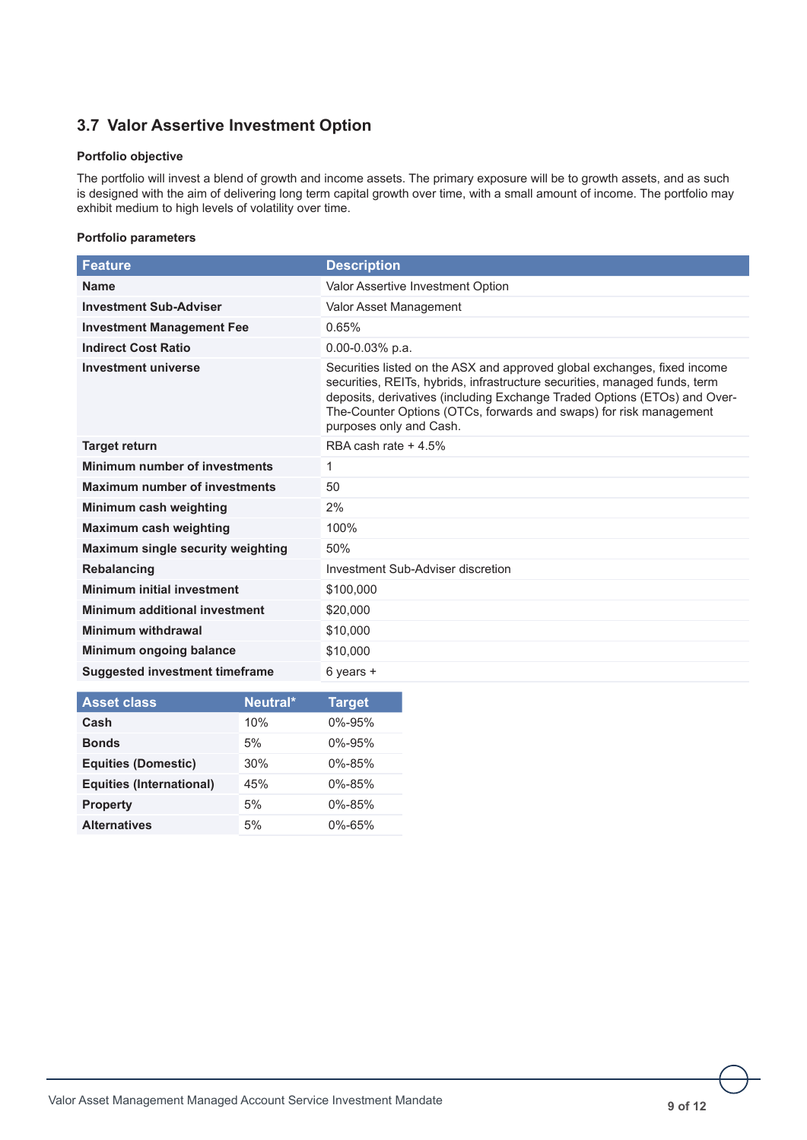## **3.7 Valor Assertive Investment Option**

## **Portfolio objective**

The portfolio will invest a blend of growth and income assets. The primary exposure will be to growth assets, and as such is designed with the aim of delivering long term capital growth over time, with a small amount of income. The portfolio may exhibit medium to high levels of volatility over time.

| <b>Feature</b>                                                                                                                                                                                                                                                 | <b>Description</b>                                                                                                                                                                                                                                                                                                                   |
|----------------------------------------------------------------------------------------------------------------------------------------------------------------------------------------------------------------------------------------------------------------|--------------------------------------------------------------------------------------------------------------------------------------------------------------------------------------------------------------------------------------------------------------------------------------------------------------------------------------|
| <b>Name</b>                                                                                                                                                                                                                                                    | Valor Assertive Investment Option                                                                                                                                                                                                                                                                                                    |
| <b>Investment Sub-Adviser</b>                                                                                                                                                                                                                                  | Valor Asset Management                                                                                                                                                                                                                                                                                                               |
| <b>Investment Management Fee</b>                                                                                                                                                                                                                               | 0.65%                                                                                                                                                                                                                                                                                                                                |
| <b>Indirect Cost Ratio</b>                                                                                                                                                                                                                                     | $0.00 - 0.03\%$ p.a.                                                                                                                                                                                                                                                                                                                 |
| <b>Investment universe</b>                                                                                                                                                                                                                                     | Securities listed on the ASX and approved global exchanges, fixed income<br>securities, REITs, hybrids, infrastructure securities, managed funds, term<br>deposits, derivatives (including Exchange Traded Options (ETOs) and Over-<br>The-Counter Options (OTCs, forwards and swaps) for risk management<br>purposes only and Cash. |
| <b>Target return</b>                                                                                                                                                                                                                                           | RBA cash rate + 4.5%                                                                                                                                                                                                                                                                                                                 |
| Minimum number of investments                                                                                                                                                                                                                                  | 1                                                                                                                                                                                                                                                                                                                                    |
| <b>Maximum number of investments</b>                                                                                                                                                                                                                           | 50                                                                                                                                                                                                                                                                                                                                   |
| Minimum cash weighting                                                                                                                                                                                                                                         | 2%                                                                                                                                                                                                                                                                                                                                   |
| <b>Maximum cash weighting</b>                                                                                                                                                                                                                                  | 100%                                                                                                                                                                                                                                                                                                                                 |
| Maximum single security weighting                                                                                                                                                                                                                              | 50%                                                                                                                                                                                                                                                                                                                                  |
| Rebalancing                                                                                                                                                                                                                                                    | Investment Sub-Adviser discretion                                                                                                                                                                                                                                                                                                    |
| <b>Minimum initial investment</b>                                                                                                                                                                                                                              | \$100,000                                                                                                                                                                                                                                                                                                                            |
| <b>Minimum additional investment</b>                                                                                                                                                                                                                           | \$20,000                                                                                                                                                                                                                                                                                                                             |
| Minimum withdrawal                                                                                                                                                                                                                                             | \$10,000                                                                                                                                                                                                                                                                                                                             |
| Minimum ongoing balance                                                                                                                                                                                                                                        | \$10,000                                                                                                                                                                                                                                                                                                                             |
| <b>Suggested investment timeframe</b>                                                                                                                                                                                                                          | $6$ years $+$                                                                                                                                                                                                                                                                                                                        |
| <b>N.H. Good and Take</b><br>$\mathbf{A}$ is a set of the set of the set of the set of the set of the set of the set of the set of the set of the set of the set of the set of the set of the set of the set of the set of the set of the set of the set of th | <b>Production Control</b>                                                                                                                                                                                                                                                                                                            |

| <b>Asset class</b>              | Neutral* | Target       |
|---------------------------------|----------|--------------|
| Cash                            | 10%      | $0\% - 95\%$ |
| <b>Bonds</b>                    | 5%       | $0\% - 95\%$ |
| <b>Equities (Domestic)</b>      | 30%      | $0\% - 85\%$ |
| <b>Equities (International)</b> | 45%      | $0\% - 85\%$ |
| <b>Property</b>                 | 5%       | $0\% - 85\%$ |
| <b>Alternatives</b>             | 5%       | $0\% - 65\%$ |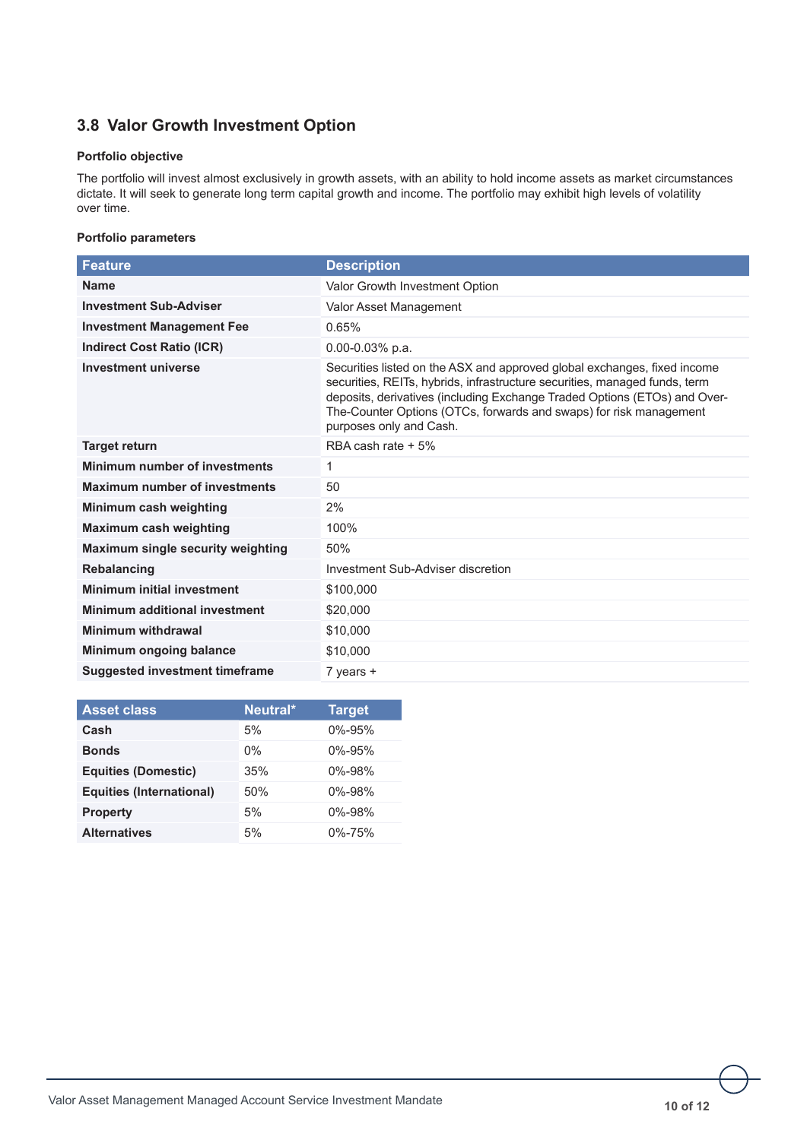## **3.8 Valor Growth Investment Option**

## **Portfolio objective**

The portfolio will invest almost exclusively in growth assets, with an ability to hold income assets as market circumstances dictate. It will seek to generate long term capital growth and income. The portfolio may exhibit high levels of volatility over time.

| <b>Feature</b>                           | <b>Description</b>                                                                                                                                                                                                                                                                                                                   |
|------------------------------------------|--------------------------------------------------------------------------------------------------------------------------------------------------------------------------------------------------------------------------------------------------------------------------------------------------------------------------------------|
| <b>Name</b>                              | Valor Growth Investment Option                                                                                                                                                                                                                                                                                                       |
| <b>Investment Sub-Adviser</b>            | Valor Asset Management                                                                                                                                                                                                                                                                                                               |
| <b>Investment Management Fee</b>         | 0.65%                                                                                                                                                                                                                                                                                                                                |
| <b>Indirect Cost Ratio (ICR)</b>         | $0.00 - 0.03\%$ p.a.                                                                                                                                                                                                                                                                                                                 |
| <b>Investment universe</b>               | Securities listed on the ASX and approved global exchanges, fixed income<br>securities, REITs, hybrids, infrastructure securities, managed funds, term<br>deposits, derivatives (including Exchange Traded Options (ETOs) and Over-<br>The-Counter Options (OTCs, forwards and swaps) for risk management<br>purposes only and Cash. |
| <b>Target return</b>                     | RBA cash rate $+5\%$                                                                                                                                                                                                                                                                                                                 |
| Minimum number of investments            | 1                                                                                                                                                                                                                                                                                                                                    |
| <b>Maximum number of investments</b>     | 50                                                                                                                                                                                                                                                                                                                                   |
| Minimum cash weighting                   | 2%                                                                                                                                                                                                                                                                                                                                   |
| <b>Maximum cash weighting</b>            | 100%                                                                                                                                                                                                                                                                                                                                 |
| <b>Maximum single security weighting</b> | 50%                                                                                                                                                                                                                                                                                                                                  |
| <b>Rebalancing</b>                       | Investment Sub-Adviser discretion                                                                                                                                                                                                                                                                                                    |
| <b>Minimum initial investment</b>        | \$100,000                                                                                                                                                                                                                                                                                                                            |
| <b>Minimum additional investment</b>     | \$20,000                                                                                                                                                                                                                                                                                                                             |
| <b>Minimum withdrawal</b>                | \$10,000                                                                                                                                                                                                                                                                                                                             |
| Minimum ongoing balance                  | \$10,000                                                                                                                                                                                                                                                                                                                             |
| <b>Suggested investment timeframe</b>    | $7$ years $+$                                                                                                                                                                                                                                                                                                                        |

| <b>Asset class</b>              | Neutral* | <b>Target</b> |
|---------------------------------|----------|---------------|
| Cash                            | 5%       | $0\% - 95\%$  |
| <b>Bonds</b>                    | $0\%$    | $0\% - 95\%$  |
| <b>Equities (Domestic)</b>      | 35%      | $0\% - 98\%$  |
| <b>Equities (International)</b> | 50%      | $0\% - 98\%$  |
| <b>Property</b>                 | 5%       | $0\% - 98\%$  |
| <b>Alternatives</b>             | 5%       | 0%-75%        |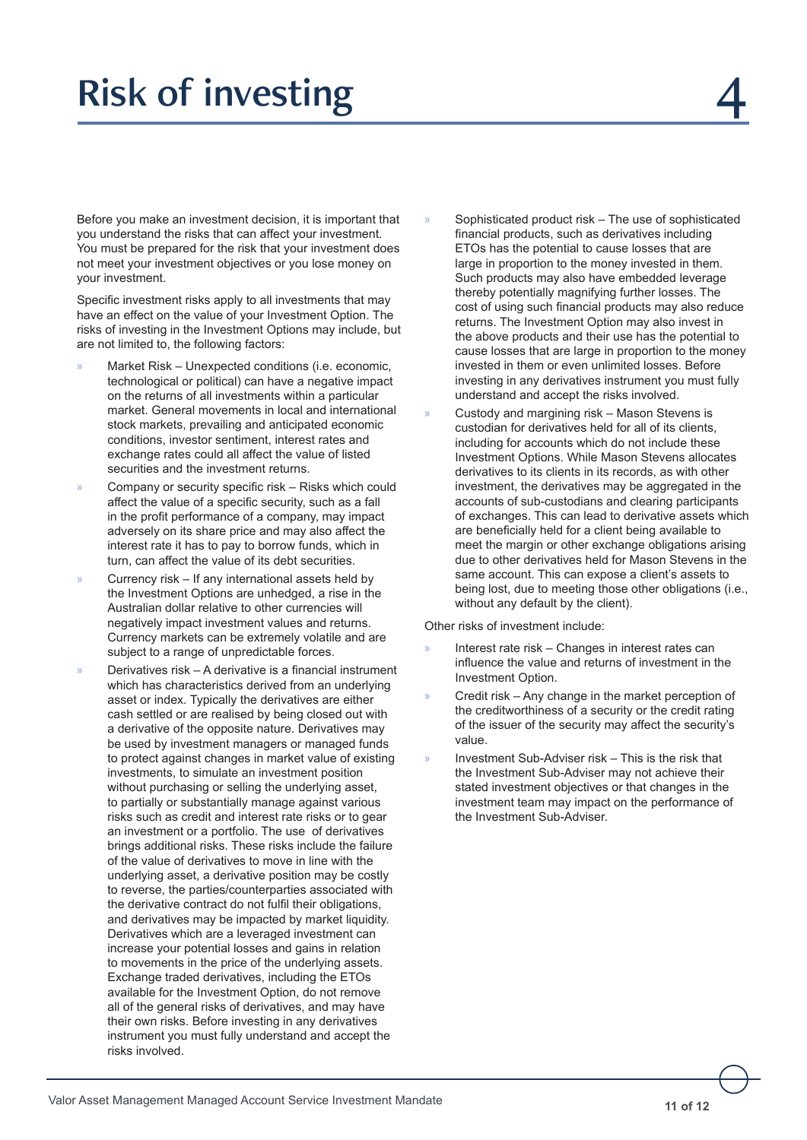## Risk of investing

Before you make an investment decision, it is important that you understand the risks that can affect your investment. You must be prepared for the risk that your investment does not meet your investment objectives or you lose money on your investment.

Specific investment risks apply to all investments that may have an effect on the value of your Investment Option. The risks of investing in the Investment Options may include, but are not limited to, the following factors:

- » Market Risk Unexpected conditions (i.e. economic, technological or political) can have a negative impact on the returns of all investments within a particular market. General movements in local and international stock markets, prevailing and anticipated economic conditions, investor sentiment, interest rates and exchange rates could all affect the value of listed securities and the investment returns.
- » Company or security specific risk Risks which could affect the value of a specific security, such as a fall in the profit performance of a company, may impact adversely on its share price and may also affect the interest rate it has to pay to borrow funds, which in turn, can affect the value of its debt securities.
- » Currency risk If any international assets held by the Investment Options are unhedged, a rise in the Australian dollar relative to other currencies will negatively impact investment values and returns. Currency markets can be extremely volatile and are subject to a range of unpredictable forces.
- » Derivatives risk A derivative is a financial instrument which has characteristics derived from an underlying asset or index. Typically the derivatives are either cash settled or are realised by being closed out with a derivative of the opposite nature. Derivatives may be used by investment managers or managed funds to protect against changes in market value of existing investments, to simulate an investment position without purchasing or selling the underlying asset, to partially or substantially manage against various risks such as credit and interest rate risks or to gear an investment or a portfolio. The use of derivatives brings additional risks. These risks include the failure of the value of derivatives to move in line with the underlying asset, a derivative position may be costly to reverse, the parties/counterparties associated with the derivative contract do not fulfil their obligations, and derivatives may be impacted by market liquidity. Derivatives which are a leveraged investment can increase your potential losses and gains in relation to movements in the price of the underlying assets. Exchange traded derivatives, including the ETOs available for the Investment Option, do not remove all of the general risks of derivatives, and may have their own risks. Before investing in any derivatives instrument you must fully understand and accept the risks involved.
- Sophisticated product risk The use of sophisticated financial products, such as derivatives including ETOs has the potential to cause losses that are large in proportion to the money invested in them. Such products may also have embedded leverage thereby potentially magnifying further losses. The cost of using such financial products may also reduce returns. The Investment Option may also invest in the above products and their use has the potential to cause losses that are large in proportion to the money invested in them or even unlimited losses. Before investing in any derivatives instrument you must fully understand and accept the risks involved.
- » Custody and margining risk Mason Stevens is custodian for derivatives held for all of its clients, including for accounts which do not include these Investment Options. While Mason Stevens allocates derivatives to its clients in its records, as with other investment, the derivatives may be aggregated in the accounts of sub-custodians and clearing participants of exchanges. This can lead to derivative assets which are beneficially held for a client being available to meet the margin or other exchange obligations arising due to other derivatives held for Mason Stevens in the same account. This can expose a client's assets to being lost, due to meeting those other obligations (i.e., without any default by the client).

Other risks of investment include:

- » Interest rate risk Changes in interest rates can influence the value and returns of investment in the Investment Option.
- » Credit risk Any change in the market perception of the creditworthiness of a security or the credit rating of the issuer of the security may affect the security's value.
- » Investment Sub-Adviser risk This is the risk that the Investment Sub-Adviser may not achieve their stated investment objectives or that changes in the investment team may impact on the performance of the Investment Sub-Adviser.